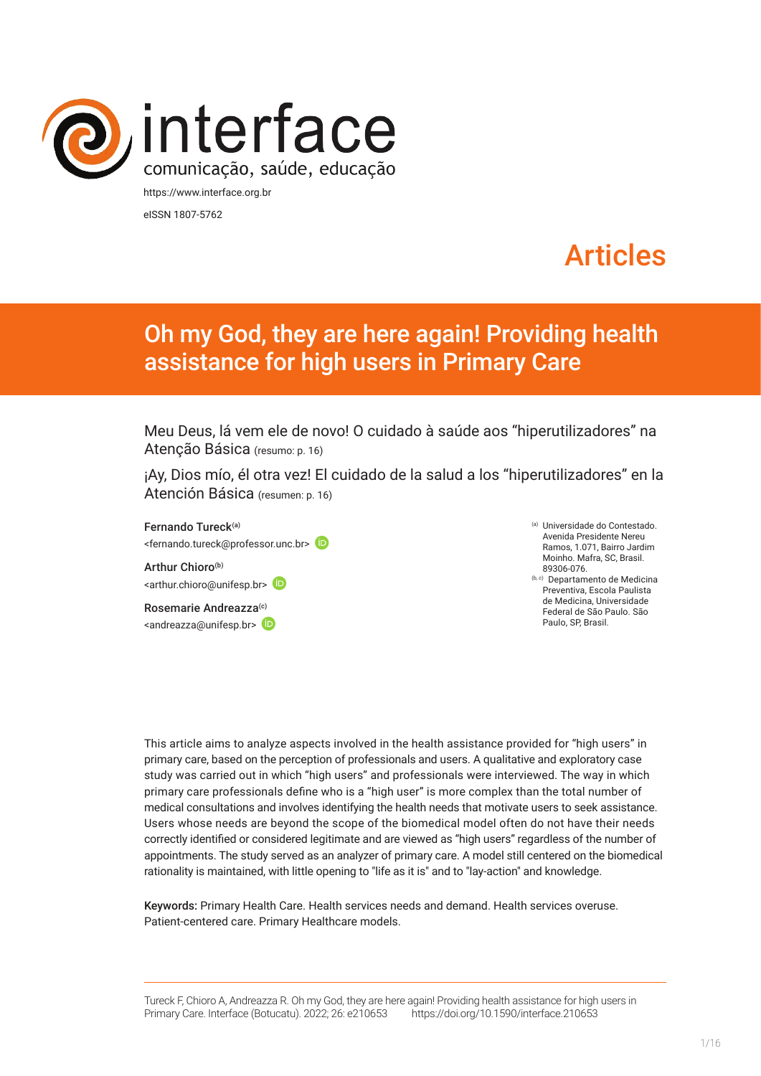

eISSN 1807-5762

# Articles

## Oh my God, they are here again! Providing health assistance for high users in Primary Care

Meu Deus, lá vem ele de novo! O cuidado à saúde aos "hiperutilizadores" na Atenção Básica (resumo: p. 16)

¡Ay, Dios mío, él otra vez! El cuidado de la salud a los "hiperutilizadores" en la Atención Básica (resumen: p. 16)

Fernando Tureck(a) <fernando.tureck@professor.unc.br>

Arthur Chioro<sup>(b)</sup> <[arthur.chioro@unifesp.br>](mailto:arthur.chioro@unifesp.br)

Rosemarie Andreazza<sup>(c)</sup>  $\langle$ andreazza@unifesp.br> $\langle$ D

- (a) Universidade do Contestado. Avenida Presidente Nereu Ramos, 1.071, Bairro Jardim Moinho. Mafra, SC, Brasil. 89306-076.
- (b, c) Departamento de Medicina Preventiva, Escola Paulista de Medicina, Universidade Federal de São Paulo. São Paulo, SP, Brasil.

This article aims to analyze aspects involved in the health assistance provided for "high users" in primary care, based on the perception of professionals and users. A qualitative and exploratory case study was carried out in which "high users" and professionals were interviewed. The way in which primary care professionals define who is a "high user" is more complex than the total number of medical consultations and involves identifying the health needs that motivate users to seek assistance. Users whose needs are beyond the scope of the biomedical model often do not have their needs correctly identified or considered legitimate and are viewed as "high users" regardless of the number of appointments. The study served as an analyzer of primary care. A model still centered on the biomedical rationality is maintained, with little opening to "life as it is" and to "lay-action" and knowledge.

Keywords: Primary Health Care. Health services needs and demand. Health services overuse. Patient-centered care. Primary Healthcare models.

Tureck F, Chioro A, Andreazza R. Oh my God, they are here again! Providing health assistance for high users in Primary Care. Interface (Botucatu). 2022; 26: e210653 [https://d](https://10.11606/S1518-787.201805200XXXX)oi.org/10.1590/interface.210653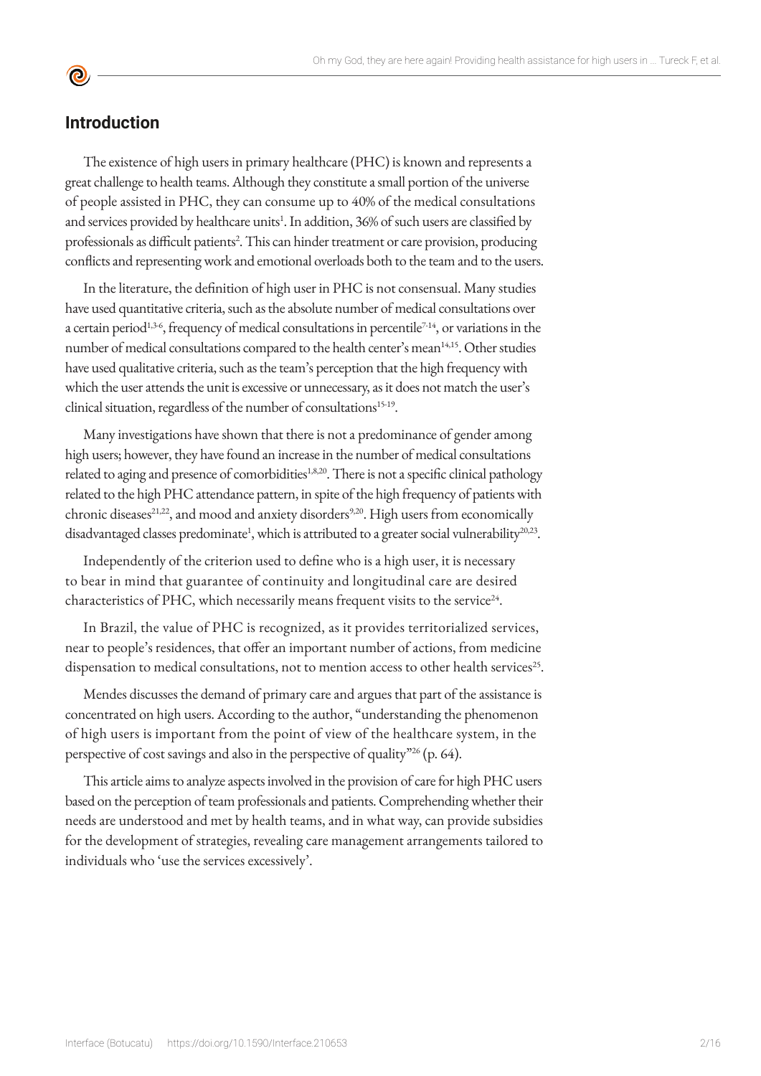#### **Introduction**

<u>ල</u>

The existence of high users in primary healthcare (PHC) is known and represents a great challenge to health teams. Although they constitute a small portion of the universe of people assisted in PHC, they can consume up to 40% of the medical consultations and services provided by healthcare units<sup>1</sup>. In addition, 36% of such users are classified by professionals as difficult patients<sup>2</sup>. This can hinder treatment or care provision, producing conflicts and representing work and emotional overloads both to the team and to the users.

In the literature, the definition of high user in PHC is not consensual. Many studies have used quantitative criteria, such as the absolute number of medical consultations over a certain period<sup>1,3-6</sup>, frequency of medical consultations in percentile<sup>7-14</sup>, or variations in the number of medical consultations compared to the health center's mean<sup>14,15</sup>. Other studies have used qualitative criteria, such as the team's perception that the high frequency with which the user attends the unit is excessive or unnecessary, as it does not match the user's clinical situation, regardless of the number of consultations<sup>15-19</sup>.

Many investigations have shown that there is not a predominance of gender among high users; however, they have found an increase in the number of medical consultations related to aging and presence of comorbidities<sup>1,8,20</sup>. There is not a specific clinical pathology related to the high PHC attendance pattern, in spite of the high frequency of patients with chronic diseases<sup>21,22</sup>, and mood and anxiety disorders<sup>9,20</sup>. High users from economically disadvantaged classes predominate<sup>1</sup>, which is attributed to a greater social vulnerability<sup>20,23</sup>.

Independently of the criterion used to define who is a high user, it is necessary to bear in mind that guarantee of continuity and longitudinal care are desired characteristics of PHC, which necessarily means frequent visits to the service<sup>24</sup>.

In Brazil, the value of PHC is recognized, as it provides territorialized services, near to people's residences, that offer an important number of actions, from medicine dispensation to medical consultations, not to mention access to other health services<sup>25</sup>.

Mendes discusses the demand of primary care and argues that part of the assistance is concentrated on high users. According to the author, "understanding the phenomenon of high users is important from the point of view of the healthcare system, in the perspective of cost savings and also in the perspective of quality"<sup>26</sup> (p. 64).

This article aims to analyze aspects involved in the provision of care for high PHC users based on the perception of team professionals and patients. Comprehending whether their needs are understood and met by health teams, and in what way, can provide subsidies for the development of strategies, revealing care management arrangements tailored to individuals who 'use the services excessively'.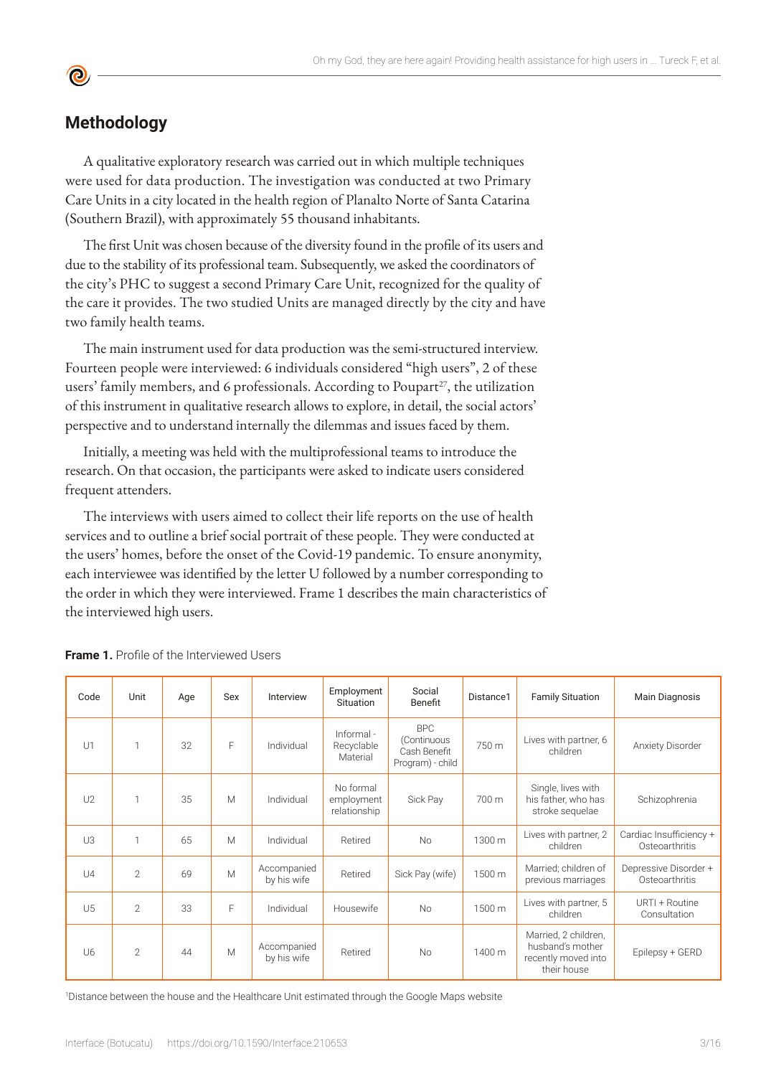### **Methodology**

A qualitative exploratory research was carried out in which multiple techniques were used for data production. The investigation was conducted at two Primary Care Units in a city located in the health region of Planalto Norte of Santa Catarina (Southern Brazil), with approximately 55 thousand inhabitants.

The first Unit was chosen because of the diversity found in the profile of its users and due to the stability of its professional team. Subsequently, we asked the coordinators of the city's PHC to suggest a second Primary Care Unit, recognized for the quality of the care it provides. The two studied Units are managed directly by the city and have two family health teams.

The main instrument used for data production was the semi-structured interview. Fourteen people were interviewed: 6 individuals considered "high users", 2 of these users' family members, and 6 professionals. According to Poupart<sup>27</sup>, the utilization of this instrument in qualitative research allows to explore, in detail, the social actors' perspective and to understand internally the dilemmas and issues faced by them.

Initially, a meeting was held with the multiprofessional teams to introduce the research. On that occasion, the participants were asked to indicate users considered frequent attenders.

The interviews with users aimed to collect their life reports on the use of health services and to outline a brief social portrait of these people. They were conducted at the users' homes, before the onset of the Covid-19 pandemic. To ensure anonymity, each interviewee was identified by the letter U followed by a number corresponding to the order in which they were interviewed. Frame 1 describes the main characteristics of the interviewed high users.

| Code           | Unit           | Age | Sex | Interview                  | Employment<br><b>Situation</b>          | Social<br>Benefit                                             | Distance1 | <b>Family Situation</b>                                                        | Main Diagnosis                            |
|----------------|----------------|-----|-----|----------------------------|-----------------------------------------|---------------------------------------------------------------|-----------|--------------------------------------------------------------------------------|-------------------------------------------|
| U1             | 1              | 32  | E   | Individual                 | Informal -<br>Recyclable<br>Material    | <b>BPC</b><br>(Continuous<br>Cash Benefit<br>Program) - child | 750 m     | Lives with partner, 6<br>children                                              | Anxiety Disorder                          |
| U <sub>2</sub> | 1              | 35  | M   | Individual                 | No formal<br>employment<br>relationship | Sick Pay                                                      | 700 m     | Single, lives with<br>his father, who has<br>stroke sequelae                   | Schizophrenia                             |
| U3             | 1              | 65  | M   | Individual                 | Retired                                 | <b>No</b>                                                     | 1300 m    | Lives with partner, 2<br>children                                              | Cardiac Insufficiency +<br>Osteoarthritis |
| $U_4$          | $\overline{2}$ | 69  | M   | Accompanied<br>by his wife | Retired                                 | Sick Pay (wife)                                               | 1500 m    | Married; children of<br>previous marriages                                     | Depressive Disorder +<br>Osteoarthritis   |
| U5             | $\overline{2}$ | 33  | F   | Individual                 | Housewife                               | <b>No</b>                                                     | 1500 m    | Lives with partner, 5<br>children                                              | URTI + Routine<br>Consultation            |
| U6             | $\overline{2}$ | 44  | M   | Accompanied<br>by his wife | Retired                                 | <b>No</b>                                                     | 1400 m    | Married, 2 children,<br>husband's mother<br>recently moved into<br>their house | Epilepsy + GERD                           |

**Frame 1.** Profile of the Interviewed Users

1 Distance between the house and the Healthcare Unit estimated through the Google Maps website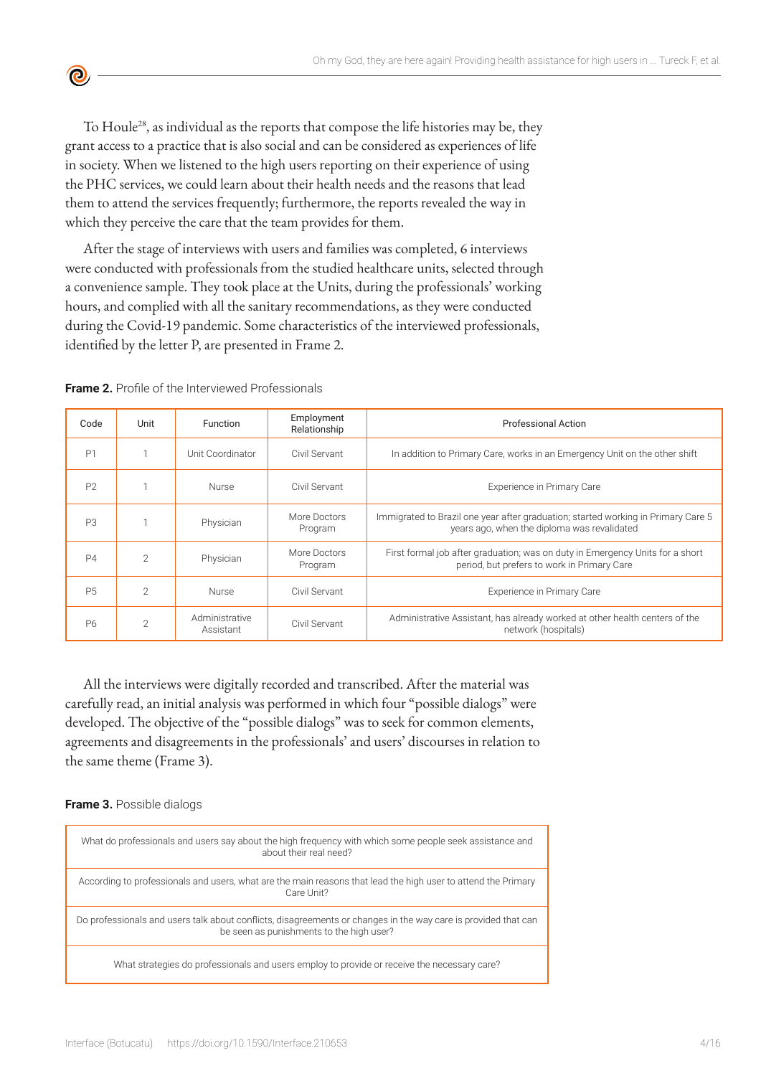To Houle<sup>28</sup>, as individual as the reports that compose the life histories may be, they grant access to a practice that is also social and can be considered as experiences of life in society. When we listened to the high users reporting on their experience of using the PHC services, we could learn about their health needs and the reasons that lead them to attend the services frequently; furthermore, the reports revealed the way in which they perceive the care that the team provides for them.

After the stage of interviews with users and families was completed, 6 interviews were conducted with professionals from the studied healthcare units, selected through a convenience sample. They took place at the Units, during the professionals' working hours, and complied with all the sanitary recommendations, as they were conducted during the Covid-19 pandemic. Some characteristics of the interviewed professionals, identified by the letter P, are presented in Frame 2.

**Frame 2.** Profile of the Interviewed Professionals

ര

| Code           | Unit           | <b>Function</b>             | Employment<br>Relationship | <b>Professional Action</b>                                                                                                       |  |  |
|----------------|----------------|-----------------------------|----------------------------|----------------------------------------------------------------------------------------------------------------------------------|--|--|
| P <sub>1</sub> |                | Unit Coordinator            | Civil Servant              | In addition to Primary Care, works in an Emergency Unit on the other shift                                                       |  |  |
| P <sub>2</sub> |                | <b>Nurse</b>                | Civil Servant              | Experience in Primary Care                                                                                                       |  |  |
| P <sub>3</sub> |                | Physician                   | More Doctors<br>Program    | Immigrated to Brazil one year after graduation; started working in Primary Care 5<br>years ago, when the diploma was revalidated |  |  |
| P4             | $\mathfrak{D}$ | Physician                   | More Doctors<br>Program    | First formal job after graduation; was on duty in Emergency Units for a short<br>period, but prefers to work in Primary Care     |  |  |
| <b>P5</b>      | $\mathfrak{D}$ | <b>Nurse</b>                | Civil Servant              | Experience in Primary Care                                                                                                       |  |  |
| P <sub>6</sub> | $\mathfrak{D}$ | Administrative<br>Assistant | Civil Servant              | Administrative Assistant, has already worked at other health centers of the<br>network (hospitals)                               |  |  |

All the interviews were digitally recorded and transcribed. After the material was carefully read, an initial analysis was performed in which four "possible dialogs" were developed. The objective of the "possible dialogs" was to seek for common elements, agreements and disagreements in the professionals' and users' discourses in relation to the same theme (Frame 3).

#### **Frame 3.** Possible dialogs

| What do professionals and users say about the high frequency with which some people seek assistance and<br>about their real need?                          |
|------------------------------------------------------------------------------------------------------------------------------------------------------------|
| According to professionals and users, what are the main reasons that lead the high user to attend the Primary<br>Care Unit?                                |
| Do professionals and users talk about conflicts, disagreements or changes in the way care is provided that can<br>be seen as punishments to the high user? |
| What strategies do professionals and users employ to provide or receive the necessary care?                                                                |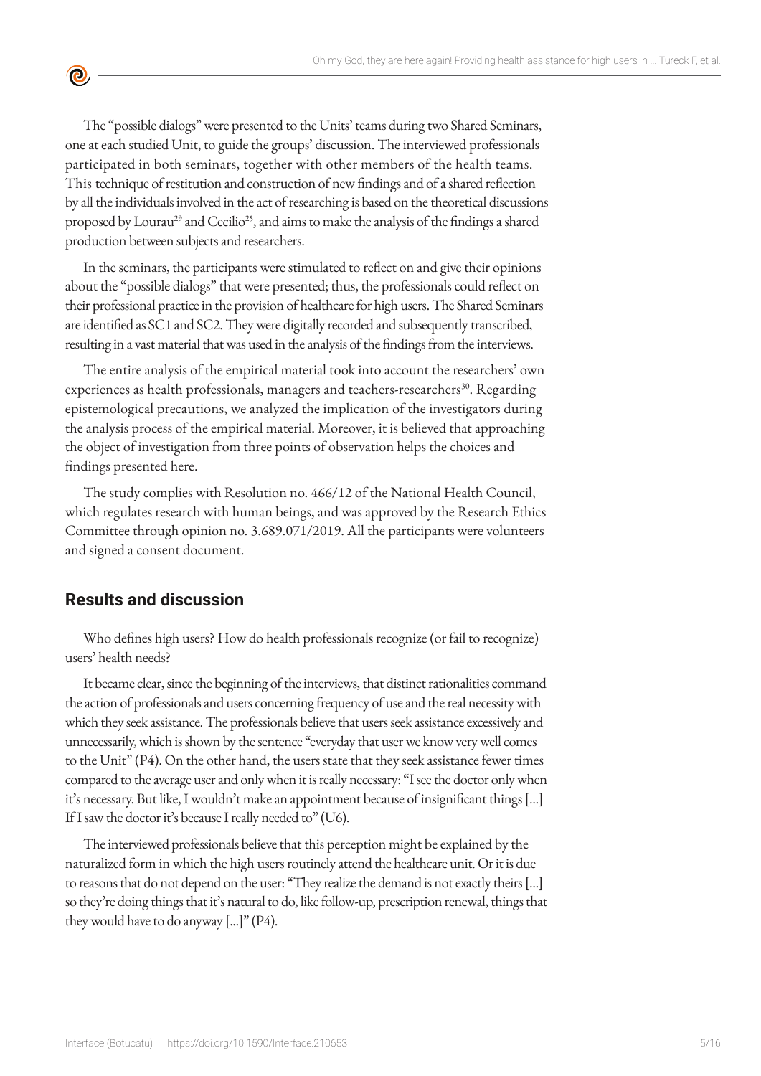The "possible dialogs" were presented to the Units' teams during two Shared Seminars, one at each studied Unit, to guide the groups' discussion. The interviewed professionals participated in both seminars, together with other members of the health teams. This technique of restitution and construction of new findings and of a shared reflection by all the individuals involved in the act of researching is based on the theoretical discussions proposed by Lourau<sup>29</sup> and Cecilio<sup>25</sup>, and aims to make the analysis of the findings a shared production between subjects and researchers.

In the seminars, the participants were stimulated to reflect on and give their opinions about the "possible dialogs" that were presented; thus, the professionals could reflect on their professional practice in the provision of healthcare for high users. The Shared Seminars are identified as SC1 and SC2. They were digitally recorded and subsequently transcribed, resulting in a vast material that was used in the analysis of the findings from the interviews.

The entire analysis of the empirical material took into account the researchers' own experiences as health professionals, managers and teachers-researchers<sup>30</sup>. Regarding epistemological precautions, we analyzed the implication of the investigators during the analysis process of the empirical material. Moreover, it is believed that approaching the object of investigation from three points of observation helps the choices and findings presented here.

The study complies with Resolution no. 466/12 of the National Health Council, which regulates research with human beings, and was approved by the Research Ethics Committee through opinion no. 3.689.071/2019. All the participants were volunteers and signed a consent document.

#### **Results and discussion**

 $\bullet$ 

Who defines high users? How do health professionals recognize (or fail to recognize) users' health needs?

It became clear, since the beginning of the interviews, that distinct rationalities command the action of professionals and users concerning frequency of use and the real necessity with which they seek assistance. The professionals believe that users seek assistance excessively and unnecessarily, which is shown by the sentence "everyday that user we know very well comes to the Unit" (P4). On the other hand, the users state that they seek assistance fewer times compared to the average user and only when it is really necessary: "I see the doctor only when it's necessary. But like, I wouldn't make an appointment because of insignificant things [...] If I saw the doctor it's because I really needed to" (U6).

The interviewed professionals believe that this perception might be explained by the naturalized form in which the high users routinely attend the healthcare unit. Or it is due to reasons that do not depend on the user: "They realize the demand is not exactly theirs [...] so they're doing things that it's natural to do, like follow-up, prescription renewal, things that they would have to do anyway  $[...]$ " (P4).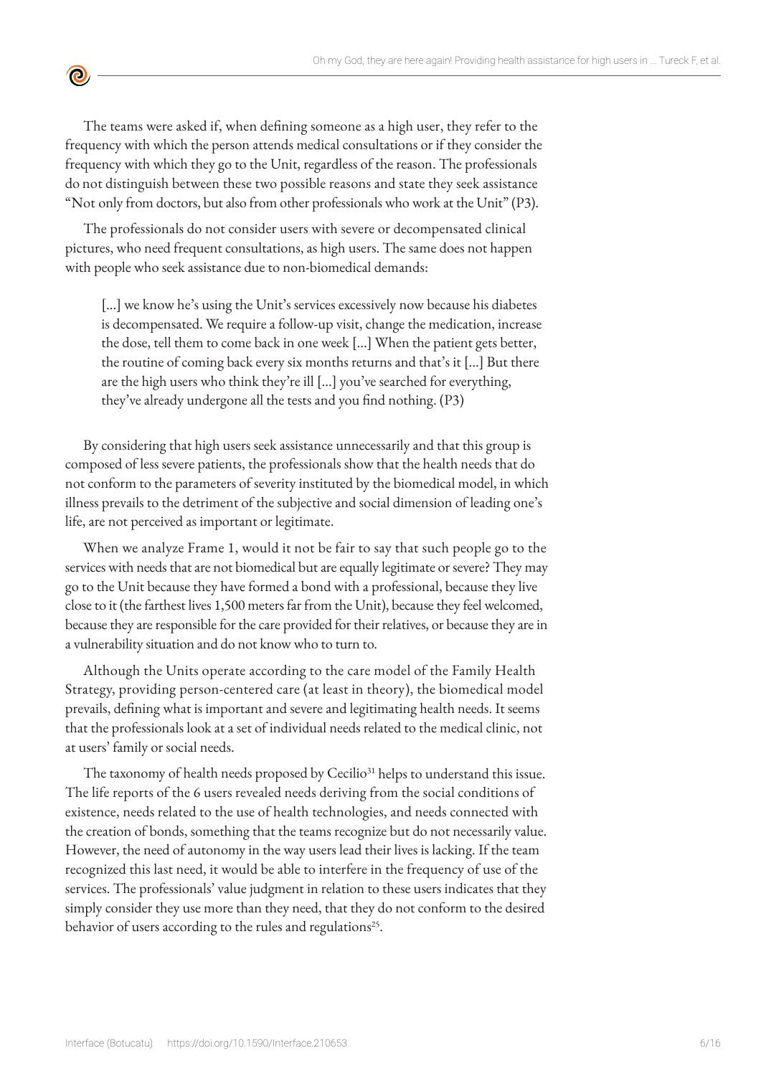The teams were asked if, when defining someone as a high user, they refer to the frequency with which the person attends medical consultations or if they consider the frequency with which they go to the Unit, regardless of the reason. The professionals do not distinguish between these two possible reasons and state they seek assistance "Not only from doctors, but also from other professionals who work at the Unit" (P3).

 $\bullet$ 

The professionals do not consider users with severe or decompensated clinical pictures, who need frequent consultations, as high users. The same does not happen with people who seek assistance due to non-biomedical demands:

[...] we know he's using the Unit's services excessively now because his diabetes is decompensated. We require a follow-up visit, change the medication, increase the dose, tell them to come back in one week [...] When the patient gets better, the routine of coming back every six months returns and that's it [...] But there are the high users who think they're ill [...] you've searched for everything, they've already undergone all the tests and you find nothing. (P3)

By considering that high users seek assistance unnecessarily and that this group is composed of less severe patients, the professionals show that the health needs that do not conform to the parameters of severity instituted by the biomedical model, in which illness prevails to the detriment of the subjective and social dimension of leading one's life, are not perceived as important or legitimate.

When we analyze Frame 1, would it not be fair to say that such people go to the services with needs that are not biomedical but are equally legitimate or severe? They may go to the Unit because they have formed a bond with a professional, because they live close to it (the farthest lives 1,500 meters far from the Unit), because they feel welcomed, because they are responsible for the care provided for their relatives, or because they are in a vulnerability situation and do not know who to turn to.

Although the Units operate according to the care model of the Family Health Strategy, providing person-centered care (at least in theory), the biomedical model prevails, defining what is important and severe and legitimating health needs. It seems that the professionals look at a set of individual needs related to the medical clinic, not at users' family or social needs.

The taxonomy of health needs proposed by Cecilio<sup>31</sup> helps to understand this issue. The life reports of the 6 users revealed needs deriving from the social conditions of existence, needs related to the use of health technologies, and needs connected with the creation of bonds, something that the teams recognize but do not necessarily value. However, the need of autonomy in the way users lead their lives is lacking. If the team recognized this last need, it would be able to interfere in the frequency of use of the services. The professionals' value judgment in relation to these users indicates that they simply consider they use more than they need, that they do not conform to the desired behavior of users according to the rules and regulations<sup>25</sup>.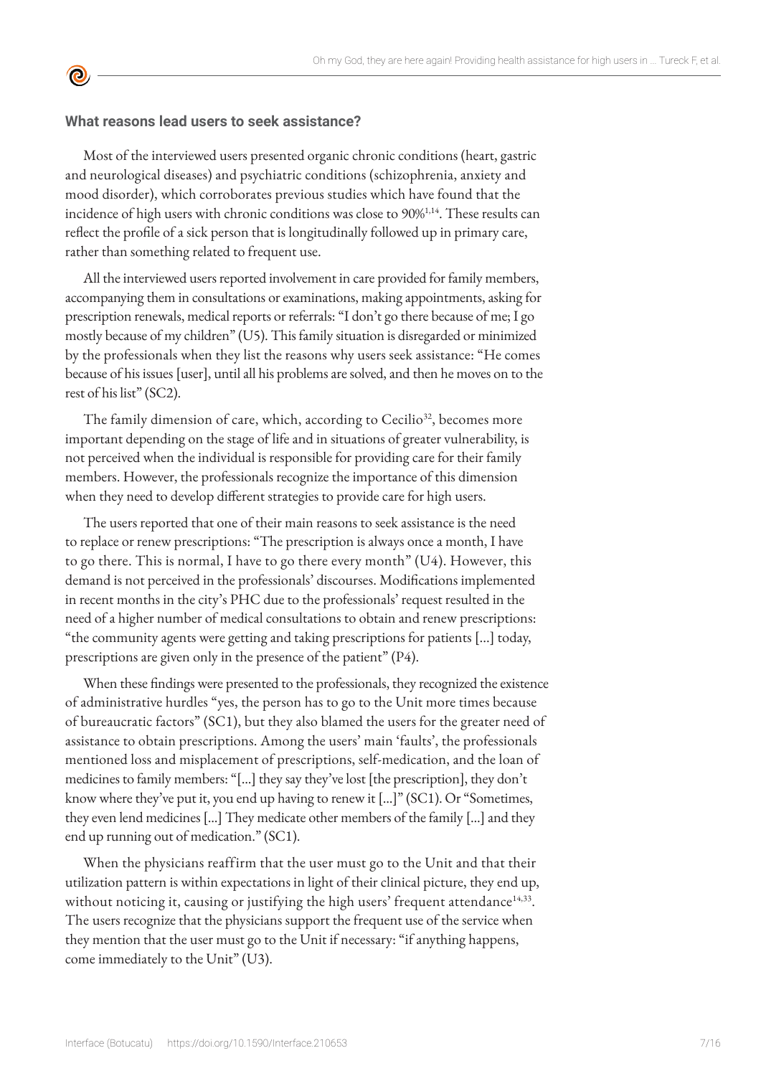#### **What reasons lead users to seek assistance?**

<u>ල</u>

Most of the interviewed users presented organic chronic conditions (heart, gastric and neurological diseases) and psychiatric conditions (schizophrenia, anxiety and mood disorder), which corroborates previous studies which have found that the incidence of high users with chronic conditions was close to 90%1,14. These results can reflect the profile of a sick person that is longitudinally followed up in primary care, rather than something related to frequent use.

All the interviewed users reported involvement in care provided for family members, accompanying them in consultations or examinations, making appointments, asking for prescription renewals, medical reports or referrals: "I don't go there because of me; I go mostly because of my children" (U5). This family situation is disregarded or minimized by the professionals when they list the reasons why users seek assistance: "He comes because of his issues [user], until all his problems are solved, and then he moves on to the rest of his list" (SC2).

The family dimension of care, which, according to Cecilio<sup>32</sup>, becomes more important depending on the stage of life and in situations of greater vulnerability, is not perceived when the individual is responsible for providing care for their family members. However, the professionals recognize the importance of this dimension when they need to develop different strategies to provide care for high users.

The users reported that one of their main reasons to seek assistance is the need to replace or renew prescriptions: "The prescription is always once a month, I have to go there. This is normal, I have to go there every month" (U4). However, this demand is not perceived in the professionals' discourses. Modifications implemented in recent months in the city's PHC due to the professionals' request resulted in the need of a higher number of medical consultations to obtain and renew prescriptions: "the community agents were getting and taking prescriptions for patients [...] today, prescriptions are given only in the presence of the patient" (P4).

When these findings were presented to the professionals, they recognized the existence of administrative hurdles "yes, the person has to go to the Unit more times because of bureaucratic factors" (SC1), but they also blamed the users for the greater need of assistance to obtain prescriptions. Among the users' main 'faults', the professionals mentioned loss and misplacement of prescriptions, self-medication, and the loan of medicines to family members: "[...] they say they've lost [the prescription], they don't know where they've put it, you end up having to renew it [...]" (SC1). Or "Sometimes, they even lend medicines [...] They medicate other members of the family [...] and they end up running out of medication." (SC1).

When the physicians reaffirm that the user must go to the Unit and that their utilization pattern is within expectations in light of their clinical picture, they end up, without noticing it, causing or justifying the high users' frequent attendance<sup>14,33</sup>. The users recognize that the physicians support the frequent use of the service when they mention that the user must go to the Unit if necessary: "if anything happens, come immediately to the Unit" (U3).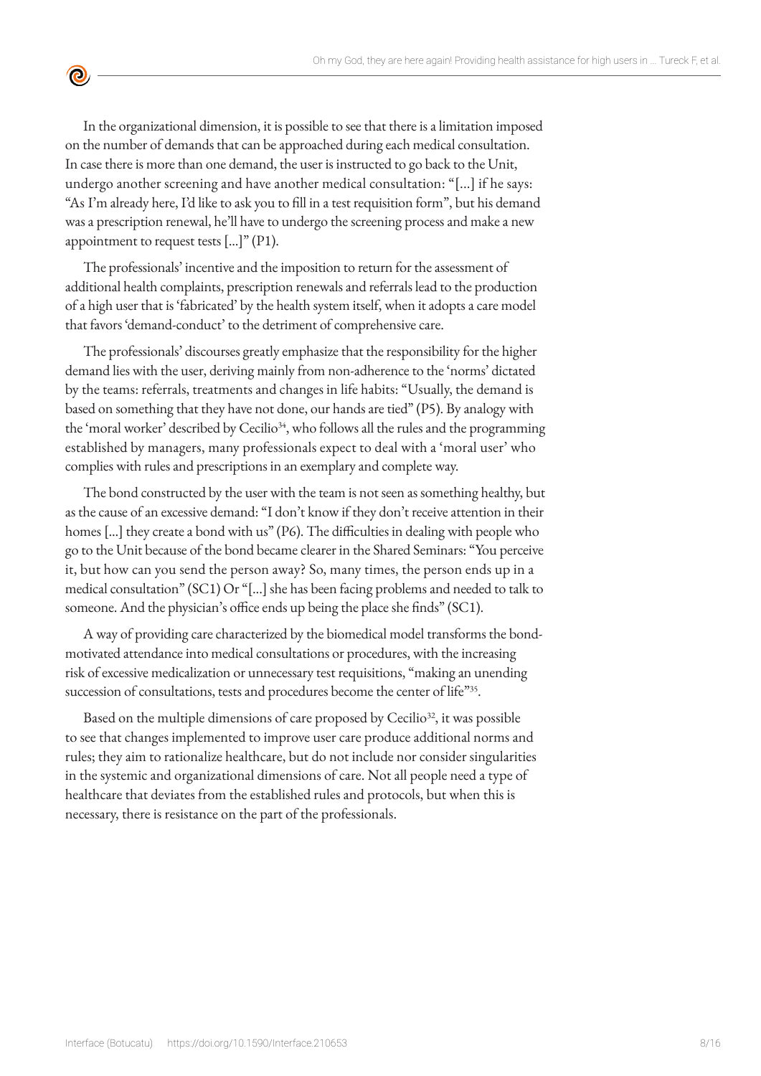In the organizational dimension, it is possible to see that there is a limitation imposed on the number of demands that can be approached during each medical consultation. In case there is more than one demand, the user is instructed to go back to the Unit, undergo another screening and have another medical consultation: "[...] if he says: "As I'm already here, I'd like to ask you to fill in a test requisition form", but his demand was a prescription renewal, he'll have to undergo the screening process and make a new appointment to request tests [...]" (P1).

 $\bullet$ 

The professionals' incentive and the imposition to return for the assessment of additional health complaints, prescription renewals and referrals lead to the production of a high user that is 'fabricated' by the health system itself, when it adopts a care model that favors 'demand-conduct' to the detriment of comprehensive care.

The professionals' discourses greatly emphasize that the responsibility for the higher demand lies with the user, deriving mainly from non-adherence to the 'norms' dictated by the teams: referrals, treatments and changes in life habits: "Usually, the demand is based on something that they have not done, our hands are tied" (P5). By analogy with the 'moral worker' described by Cecilio<sup>34</sup>, who follows all the rules and the programming established by managers, many professionals expect to deal with a 'moral user' who complies with rules and prescriptions in an exemplary and complete way.

The bond constructed by the user with the team is not seen as something healthy, but as the cause of an excessive demand: "I don't know if they don't receive attention in their homes [...] they create a bond with us" (P6). The difficulties in dealing with people who go to the Unit because of the bond became clearer in the Shared Seminars: "You perceive it, but how can you send the person away? So, many times, the person ends up in a medical consultation" (SC1) Or "[...] she has been facing problems and needed to talk to someone. And the physician's office ends up being the place she finds" (SC1).

A way of providing care characterized by the biomedical model transforms the bondmotivated attendance into medical consultations or procedures, with the increasing risk of excessive medicalization or unnecessary test requisitions, "making an unending succession of consultations, tests and procedures become the center of life"35.

Based on the multiple dimensions of care proposed by Cecilio<sup>32</sup>, it was possible to see that changes implemented to improve user care produce additional norms and rules; they aim to rationalize healthcare, but do not include nor consider singularities in the systemic and organizational dimensions of care. Not all people need a type of healthcare that deviates from the established rules and protocols, but when this is necessary, there is resistance on the part of the professionals.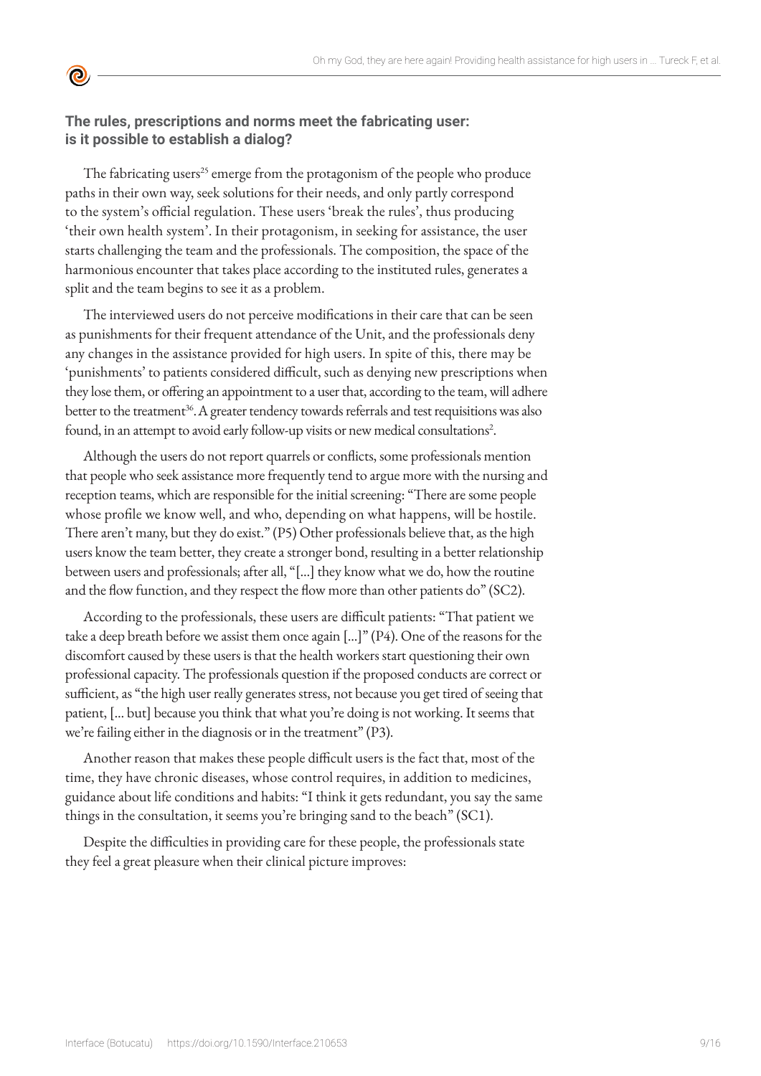#### **The rules, prescriptions and norms meet the fabricating user: is it possible to establish a dialog?**

<u>ල</u>

The fabricating users<sup>25</sup> emerge from the protagonism of the people who produce paths in their own way, seek solutions for their needs, and only partly correspond to the system's official regulation. These users 'break the rules', thus producing 'their own health system'. In their protagonism, in seeking for assistance, the user starts challenging the team and the professionals. The composition, the space of the harmonious encounter that takes place according to the instituted rules, generates a split and the team begins to see it as a problem.

The interviewed users do not perceive modifications in their care that can be seen as punishments for their frequent attendance of the Unit, and the professionals deny any changes in the assistance provided for high users. In spite of this, there may be 'punishments' to patients considered difficult, such as denying new prescriptions when they lose them, or offering an appointment to a user that, according to the team, will adhere better to the treatment<sup>36</sup>. A greater tendency towards referrals and test requisitions was also found, in an attempt to avoid early follow-up visits or new medical consultations<sup>2</sup>.

Although the users do not report quarrels or conflicts, some professionals mention that people who seek assistance more frequently tend to argue more with the nursing and reception teams, which are responsible for the initial screening: "There are some people whose profile we know well, and who, depending on what happens, will be hostile. There aren't many, but they do exist." (P5) Other professionals believe that, as the high users know the team better, they create a stronger bond, resulting in a better relationship between users and professionals; after all, "[...] they know what we do, how the routine and the flow function, and they respect the flow more than other patients do" (SC2).

According to the professionals, these users are difficult patients: "That patient we take a deep breath before we assist them once again [...]" (P4). One of the reasons for the discomfort caused by these users is that the health workers start questioning their own professional capacity. The professionals question if the proposed conducts are correct or sufficient, as "the high user really generates stress, not because you get tired of seeing that patient, [... but] because you think that what you're doing is not working. It seems that we're failing either in the diagnosis or in the treatment" (P3).

Another reason that makes these people difficult users is the fact that, most of the time, they have chronic diseases, whose control requires, in addition to medicines, guidance about life conditions and habits: "I think it gets redundant, you say the same things in the consultation, it seems you're bringing sand to the beach" (SC1).

Despite the difficulties in providing care for these people, the professionals state they feel a great pleasure when their clinical picture improves: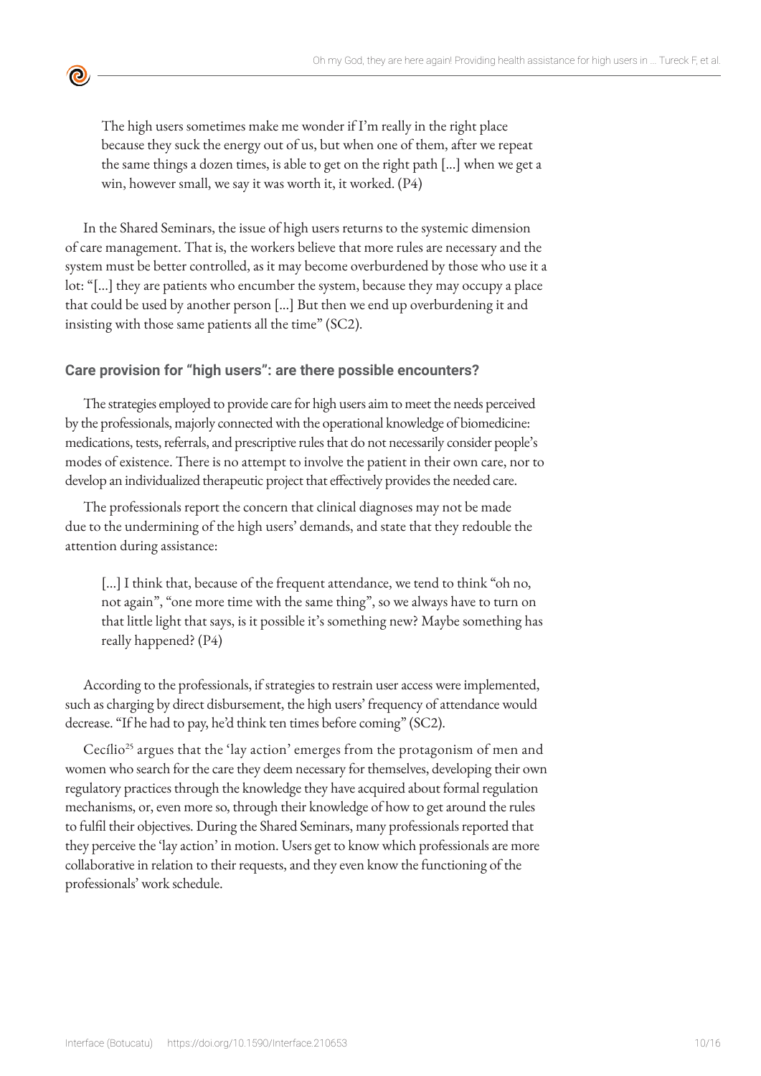The high users sometimes make me wonder if I'm really in the right place because they suck the energy out of us, but when one of them, after we repeat the same things a dozen times, is able to get on the right path [...] when we get a win, however small, we say it was worth it, it worked. (P4)

In the Shared Seminars, the issue of high users returns to the systemic dimension of care management. That is, the workers believe that more rules are necessary and the system must be better controlled, as it may become overburdened by those who use it a lot: "[...] they are patients who encumber the system, because they may occupy a place that could be used by another person [...] But then we end up overburdening it and insisting with those same patients all the time" (SC2).

#### **Care provision for "high users": are there possible encounters?**

 $\bullet$ 

The strategies employed to provide care for high users aim to meet the needs perceived by the professionals, majorly connected with the operational knowledge of biomedicine: medications, tests, referrals, and prescriptive rules that do not necessarily consider people's modes of existence. There is no attempt to involve the patient in their own care, nor to develop an individualized therapeutic project that effectively provides the needed care.

The professionals report the concern that clinical diagnoses may not be made due to the undermining of the high users' demands, and state that they redouble the attention during assistance:

[...] I think that, because of the frequent attendance, we tend to think "oh no, not again", "one more time with the same thing", so we always have to turn on that little light that says, is it possible it's something new? Maybe something has really happened? (P4)

According to the professionals, if strategies to restrain user access were implemented, such as charging by direct disbursement, the high users' frequency of attendance would decrease. "If he had to pay, he'd think ten times before coming" (SC2).

Cecílio<sup>25</sup> argues that the 'lay action' emerges from the protagonism of men and women who search for the care they deem necessary for themselves, developing their own regulatory practices through the knowledge they have acquired about formal regulation mechanisms, or, even more so, through their knowledge of how to get around the rules to fulfil their objectives. During the Shared Seminars, many professionals reported that they perceive the 'lay action' in motion. Users get to know which professionals are more collaborative in relation to their requests, and they even know the functioning of the professionals' work schedule.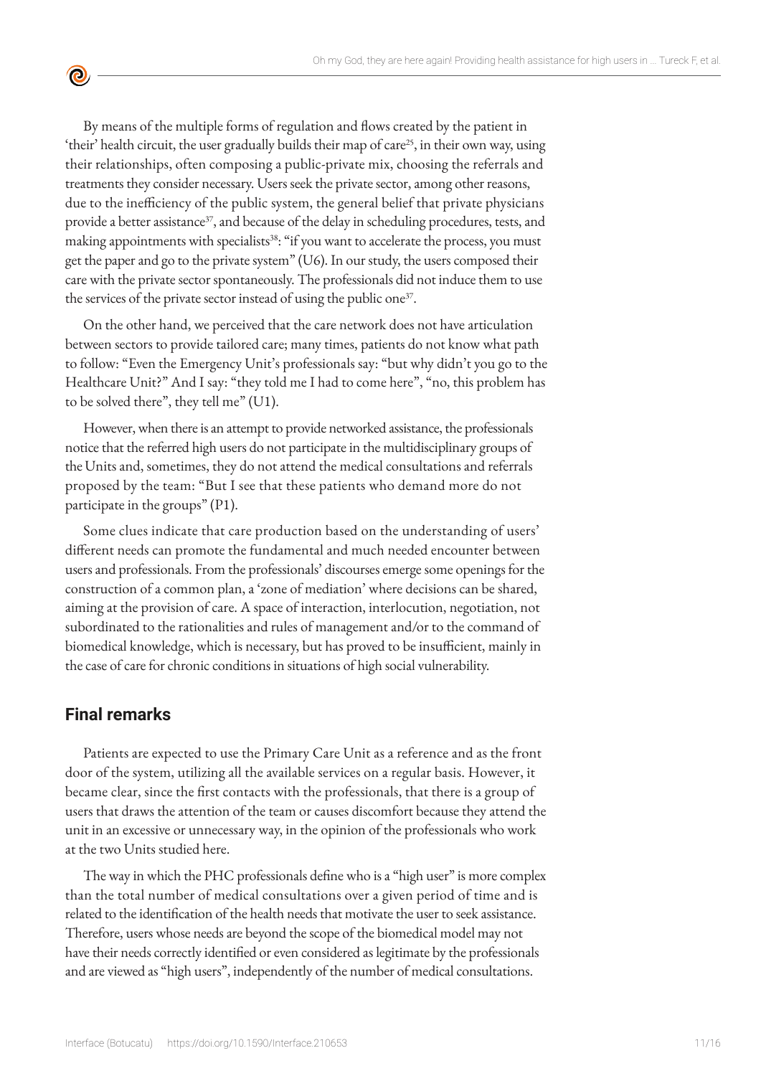By means of the multiple forms of regulation and flows created by the patient in 'their' health circuit, the user gradually builds their map of care<sup>25</sup>, in their own way, using their relationships, often composing a public-private mix, choosing the referrals and treatments they consider necessary. Users seek the private sector, among other reasons, due to the inefficiency of the public system, the general belief that private physicians provide a better assistance<sup>37</sup>, and because of the delay in scheduling procedures, tests, and making appointments with specialists<sup>38</sup>: "if you want to accelerate the process, you must get the paper and go to the private system" (U6). In our study, the users composed their care with the private sector spontaneously. The professionals did not induce them to use the services of the private sector instead of using the public one<sup>37</sup>.

On the other hand, we perceived that the care network does not have articulation between sectors to provide tailored care; many times, patients do not know what path to follow: "Even the Emergency Unit's professionals say: "but why didn't you go to the Healthcare Unit?" And I say: "they told me I had to come here", "no, this problem has to be solved there", they tell me" (U1).

However, when there is an attempt to provide networked assistance, the professionals notice that the referred high users do not participate in the multidisciplinary groups of the Units and, sometimes, they do not attend the medical consultations and referrals proposed by the team: "But I see that these patients who demand more do not participate in the groups" (P1).

Some clues indicate that care production based on the understanding of users' different needs can promote the fundamental and much needed encounter between users and professionals. From the professionals' discourses emerge some openings for the construction of a common plan, a 'zone of mediation' where decisions can be shared, aiming at the provision of care. A space of interaction, interlocution, negotiation, not subordinated to the rationalities and rules of management and/or to the command of biomedical knowledge, which is necessary, but has proved to be insufficient, mainly in the case of care for chronic conditions in situations of high social vulnerability.

#### **Final remarks**

 $\bullet$ 

Patients are expected to use the Primary Care Unit as a reference and as the front door of the system, utilizing all the available services on a regular basis. However, it became clear, since the first contacts with the professionals, that there is a group of users that draws the attention of the team or causes discomfort because they attend the unit in an excessive or unnecessary way, in the opinion of the professionals who work at the two Units studied here.

The way in which the PHC professionals define who is a "high user" is more complex than the total number of medical consultations over a given period of time and is related to the identification of the health needs that motivate the user to seek assistance. Therefore, users whose needs are beyond the scope of the biomedical model may not have their needs correctly identified or even considered as legitimate by the professionals and are viewed as "high users", independently of the number of medical consultations.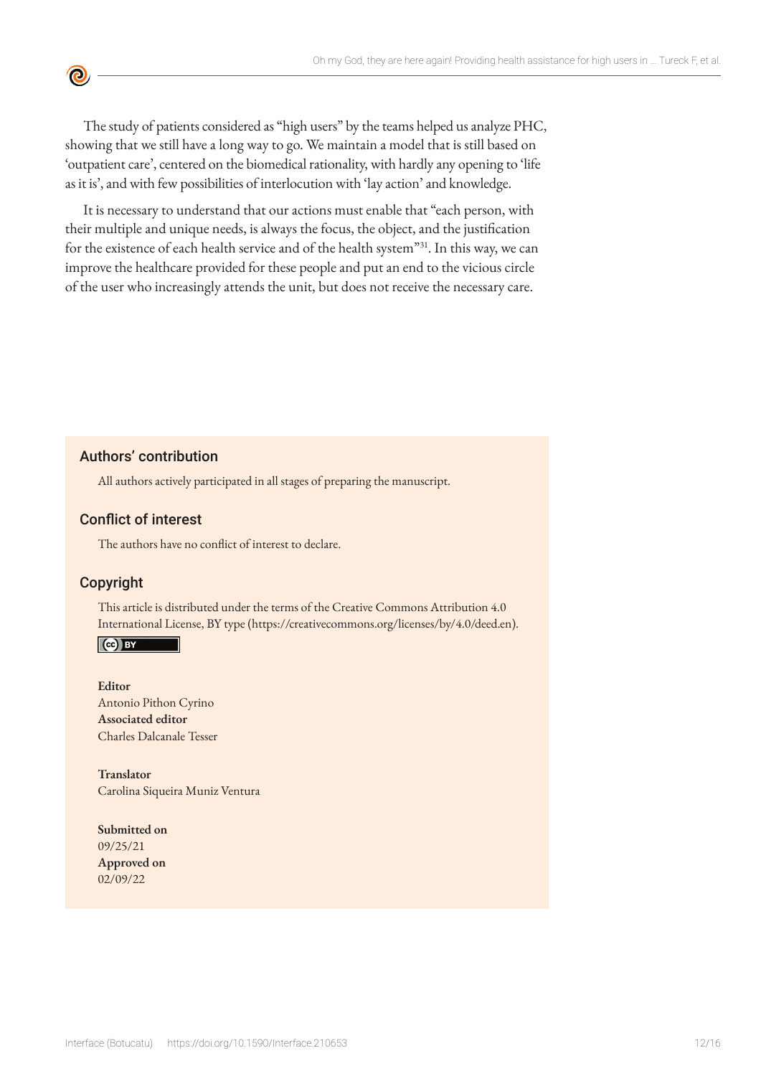The study of patients considered as "high users" by the teams helped us analyze PHC, showing that we still have a long way to go. We maintain a model that is still based on 'outpatient care', centered on the biomedical rationality, with hardly any opening to 'life as it is', and with few possibilities of interlocution with 'lay action' and knowledge.

It is necessary to understand that our actions must enable that "each person, with their multiple and unique needs, is always the focus, the object, and the justification for the existence of each health service and of the health system"31. In this way, we can improve the healthcare provided for these people and put an end to the vicious circle of the user who increasingly attends the unit, but does not receive the necessary care.

Authors' contribution

All authors actively participated in all stages of preparing the manuscript.

#### Conflict of interest

The authors have no conflict of interest to declare.

#### Copyright

 $\bullet$ 

This article is distributed under the terms of the Creative Commons Attribution 4.0 International License, BY type (https://creativecommons.org/licenses/by/4.0/deed.en).

 $\mathbf{C}$  BY

**Editor** Antonio Pithon Cyrino **Associated editor** Charles Dalcanale Tesser

**Translator** Carolina Siqueira Muniz Ventura

**Submitted on** 09/25/21 **Approved on** 02/09/22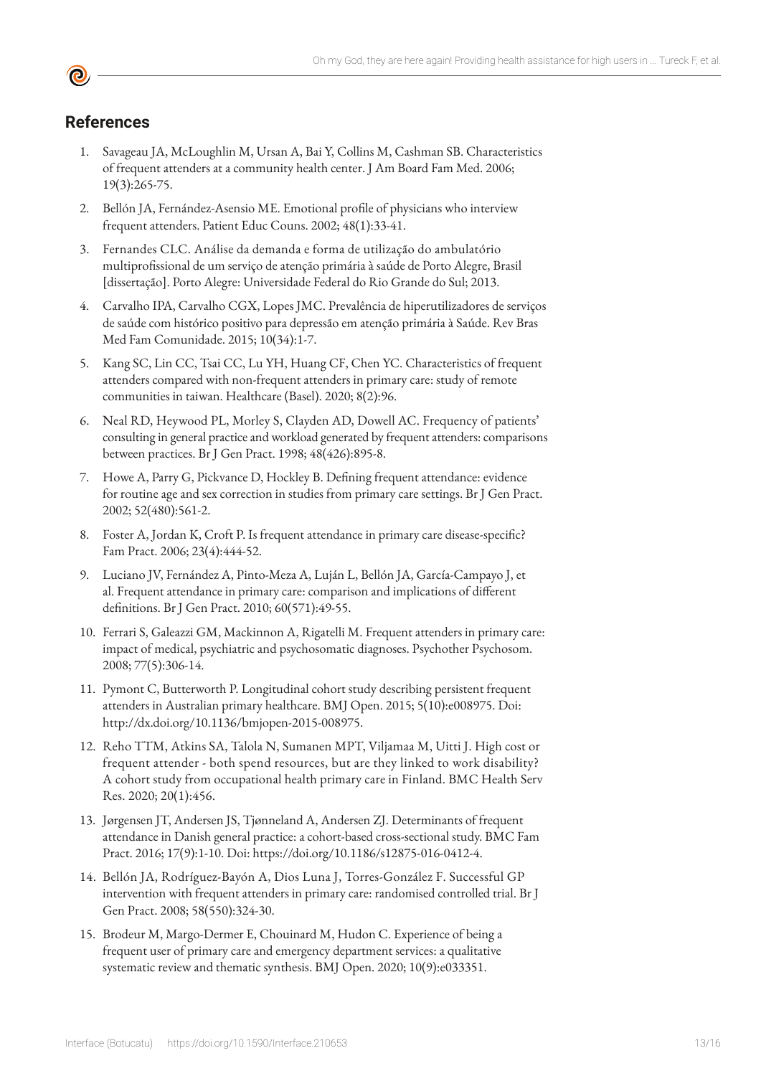#### **References**

- 1. Savageau JA, McLoughlin M, Ursan A, Bai Y, Collins M, Cashman SB. Characteristics of frequent attenders at a community health center. J Am Board Fam Med. 2006; 19(3):265-75.
- 2. Bellón JA, Fernández-Asensio ME. Emotional profile of physicians who interview frequent attenders. Patient Educ Couns. 2002; 48(1):33-41.
- 3. Fernandes CLC. Análise da demanda e forma de utilização do ambulatório multiprofissional de um serviço de atenção primária à saúde de Porto Alegre, Brasil [dissertação]. Porto Alegre: Universidade Federal do Rio Grande do Sul; 2013.
- 4. Carvalho IPA, Carvalho CGX, Lopes JMC. Prevalência de hiperutilizadores de serviços de saúde com histórico positivo para depressão em atenção primária à Saúde. Rev Bras Med Fam Comunidade. 2015; 10(34):1-7.
- 5. Kang SC, Lin CC, Tsai CC, Lu YH, Huang CF, Chen YC. Characteristics of frequent attenders compared with non-frequent attenders in primary care: study of remote communities in taiwan. Healthcare (Basel). 2020; 8(2):96.
- 6. Neal RD, Heywood PL, Morley S, Clayden AD, Dowell AC. Frequency of patients' consulting in general practice and workload generated by frequent attenders: comparisons between practices. Br J Gen Pract. 1998; 48(426):895-8.
- 7. Howe A, Parry G, Pickvance D, Hockley B. Defining frequent attendance: evidence for routine age and sex correction in studies from primary care settings. Br J Gen Pract. 2002; 52(480):561-2.
- 8. Foster A, Jordan K, Croft P. Is frequent attendance in primary care disease-specific? Fam Pract. 2006; 23(4):444-52.
- 9. Luciano JV, Fernández A, Pinto-Meza A, Luján L, Bellón JA, García-Campayo J, et al. Frequent attendance in primary care: comparison and implications of different definitions. Br J Gen Pract. 2010; 60(571):49-55.
- 10. Ferrari S, Galeazzi GM, Mackinnon A, Rigatelli M. Frequent attenders in primary care: impact of medical, psychiatric and psychosomatic diagnoses. Psychother Psychosom. 2008; 77(5):306-14.
- 11. Pymont C, Butterworth P. Longitudinal cohort study describing persistent frequent attenders in Australian primary healthcare. BMJ Open. 2015; 5(10):e008975. Doi: http://dx.doi.org/10.1136/bmjopen-2015-008975.
- 12. Reho TTM, Atkins SA, Talola N, Sumanen MPT, Viljamaa M, Uitti J. High cost or frequent attender - both spend resources, but are they linked to work disability? A cohort study from occupational health primary care in Finland. BMC Health Serv Res. 2020; 20(1):456.
- 13. Jørgensen JT, Andersen JS, Tjønneland A, Andersen ZJ. Determinants of frequent attendance in Danish general practice: a cohort-based cross-sectional study. BMC Fam Pract. 2016; 17(9):1-10. Doi: https://doi.org/10.1186/s12875-016-0412-4.
- 14. Bellón JA, Rodríguez-Bayón A, Dios Luna J, Torres-González F. Successful GP intervention with frequent attenders in primary care: randomised controlled trial. Br J Gen Pract. 2008; 58(550):324-30.
- 15. Brodeur M, Margo-Dermer E, Chouinard M, Hudon C. Experience of being a frequent user of primary care and emergency department services: a qualitative systematic review and thematic synthesis. BMJ Open. 2020; 10(9):e033351.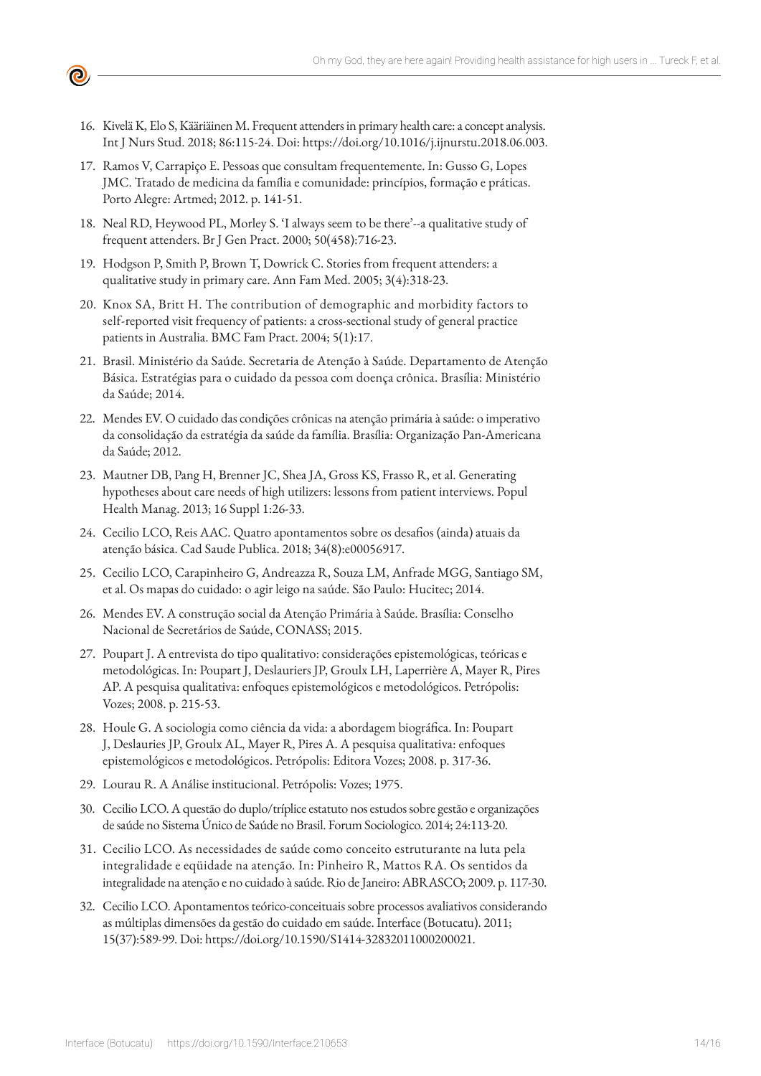- ල
	- 16. Kivelä K, Elo S, Kääriäinen M. Frequent attenders in primary health care: a concept analysis. Int J Nurs Stud. 2018; 86:115-24. Doi: https://doi.org/10.1016/j.ijnurstu.2018.06.003.
	- 17. Ramos V, Carrapiço E. Pessoas que consultam frequentemente. In: Gusso G, Lopes JMC. Tratado de medicina da família e comunidade: princípios, formação e práticas. Porto Alegre: Artmed; 2012. p. 141-51.
	- 18. Neal RD, Heywood PL, Morley S. 'I always seem to be there'--a qualitative study of frequent attenders. Br J Gen Pract. 2000; 50(458):716-23.
	- 19. Hodgson P, Smith P, Brown T, Dowrick C. Stories from frequent attenders: a qualitative study in primary care. Ann Fam Med. 2005; 3(4):318-23.
	- 20. Knox SA, Britt H. The contribution of demographic and morbidity factors to self-reported visit frequency of patients: a cross-sectional study of general practice patients in Australia. BMC Fam Pract. 2004; 5(1):17.
	- 21. Brasil. Ministério da Saúde. Secretaria de Atenção à Saúde. Departamento de Atenção Básica. Estratégias para o cuidado da pessoa com doença crônica. Brasília: Ministério da Saúde; 2014.
	- 22. Mendes EV. O cuidado das condições crônicas na atenção primária à saúde: o imperativo da consolidação da estratégia da saúde da família. Brasília: Organização Pan-Americana da Saúde; 2012.
	- 23. Mautner DB, Pang H, Brenner JC, Shea JA, Gross KS, Frasso R, et al. Generating hypotheses about care needs of high utilizers: lessons from patient interviews. Popul Health Manag. 2013; 16 Suppl 1:26-33.
	- 24. Cecilio LCO, Reis AAC. Quatro apontamentos sobre os desafios (ainda) atuais da atenção básica. Cad Saude Publica. 2018; 34(8):e00056917.
	- 25. Cecilio LCO, Carapinheiro G, Andreazza R, Souza LM, Anfrade MGG, Santiago SM, et al. Os mapas do cuidado: o agir leigo na saúde. São Paulo: Hucitec; 2014.
	- 26. Mendes EV. A construção social da Atenção Primária à Saúde. Brasília: Conselho Nacional de Secretários de Saúde, CONASS; 2015.
	- 27. Poupart J. A entrevista do tipo qualitativo: considerações epistemológicas, teóricas e metodológicas. In: Poupart J, Deslauriers JP, Groulx LH, Laperrière A, Mayer R, Pires AP. A pesquisa qualitativa: enfoques epistemológicos e metodológicos. Petrópolis: Vozes; 2008. p. 215-53.
	- 28. Houle G. A sociologia como ciência da vida: a abordagem biográfica. In: Poupart J, Deslauries JP, Groulx AL, Mayer R, Pires A. A pesquisa qualitativa: enfoques epistemológicos e metodológicos. Petrópolis: Editora Vozes; 2008. p. 317-36.
	- 29. Lourau R. A Análise institucional. Petrópolis: Vozes; 1975.
	- 30. Cecilio LCO. A questão do duplo/tríplice estatuto nos estudos sobre gestão e organizações de saúde no Sistema Único de Saúde no Brasil. Forum Sociologico. 2014; 24:113-20.
	- 31. Cecilio LCO. As necessidades de saúde como conceito estruturante na luta pela integralidade e eqüidade na atenção. In: Pinheiro R, Mattos RA. Os sentidos da integralidade na atenção e no cuidado à saúde. Rio de Janeiro: ABRASCO; 2009. p. 117-30.
	- 32. Cecilio LCO. Apontamentos teórico-conceituais sobre processos avaliativos considerando as múltiplas dimensões da gestão do cuidado em saúde. Interface (Botucatu). 2011; 15(37):589-99. Doi: https://doi.org/10.1590/S1414-32832011000200021.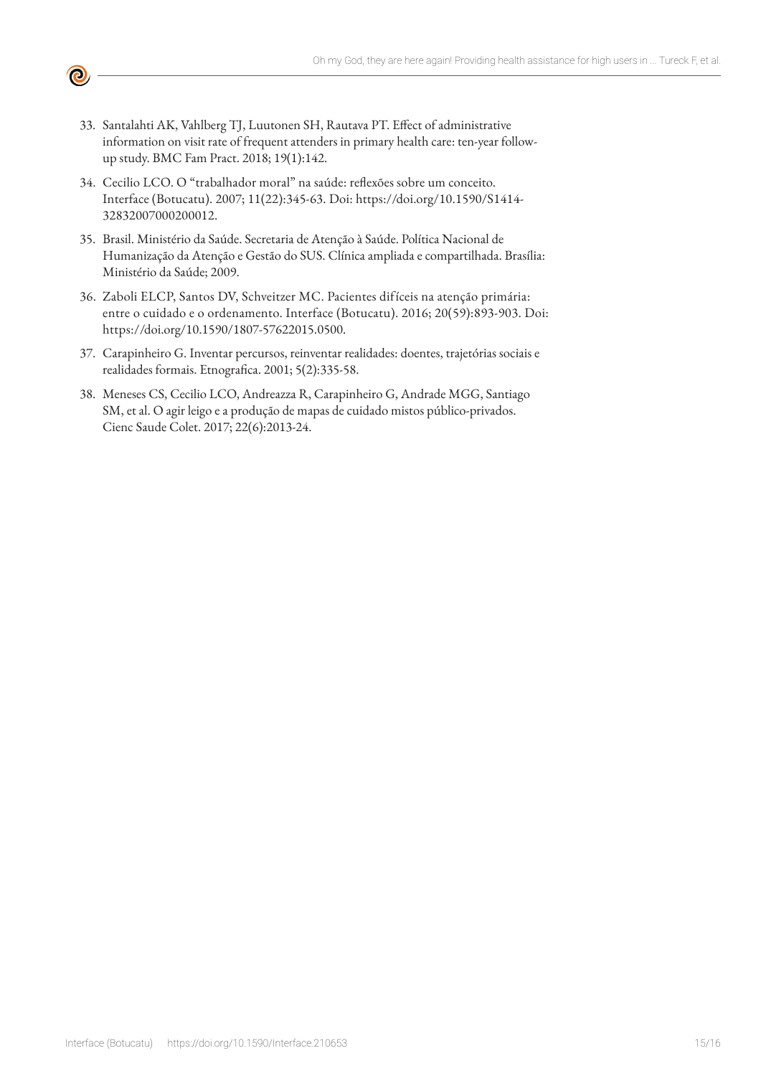

- 33. Santalahti AK, Vahlberg TJ, Luutonen SH, Rautava PT. Effect of administrative information on visit rate of frequent attenders in primary health care: ten-year followup study. BMC Fam Pract. 2018; 19(1):142.
- 34. Cecilio LCO. O "trabalhador moral" na saúde: reflexões sobre um conceito. Interface (Botucatu). 2007; 11(22):345-63. Doi: https://doi.org/10.1590/S1414- 32832007000200012.
- 35. Brasil. Ministério da Saúde. Secretaria de Atenção à Saúde. Política Nacional de Humanização da Atenção e Gestão do SUS. Clínica ampliada e compartilhada. Brasília: Ministério da Saúde; 2009.
- 36. Zaboli ELCP, Santos DV, Schveitzer MC. Pacientes difíceis na atenção primária: entre o cuidado e o ordenamento. Interface (Botucatu). 2016; 20(59):893-903. Doi: https://doi.org/10.1590/1807-57622015.0500.
- 37. Carapinheiro G. Inventar percursos, reinventar realidades: doentes, trajetórias sociais e realidades formais. Etnografica. 2001; 5(2):335-58.
- 38. Meneses CS, Cecilio LCO, Andreazza R, Carapinheiro G, Andrade MGG, Santiago SM, et al. O agir leigo e a produção de mapas de cuidado mistos público-privados. Cienc Saude Colet. 2017; 22(6):2013-24.